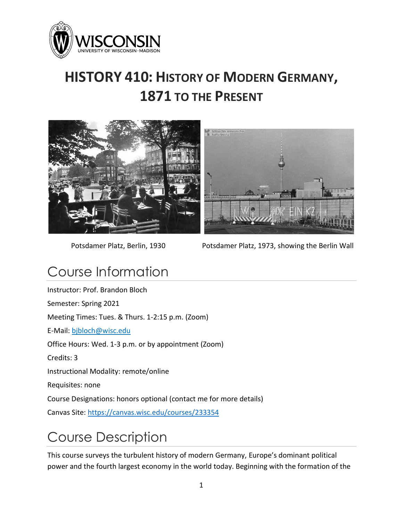

# **HISTORY 410: HISTORY OF MODERN GERMANY, 1871 TO THE PRESENT**





Potsdamer Platz, Berlin, 1930 Potsdamer Platz, 1973, showing the Berlin Wall

## Course Information

Instructor: Prof. Brandon Bloch Semester: Spring 2021 Meeting Times: Tues. & Thurs. 1-2:15 p.m. (Zoom) E-Mail: [bjbloch@wisc.edu](mailto:bjbloch@wisc.edu) Office Hours: Wed. 1-3 p.m. or by appointment (Zoom) Credits: 3 Instructional Modality: remote/online Requisites: none Course Designations: honors optional (contact me for more details) Canvas Site:<https://canvas.wisc.edu/courses/233354>

# Course Description

This course surveys the turbulent history of modern Germany, Europe's dominant political power and the fourth largest economy in the world today. Beginning with the formation of the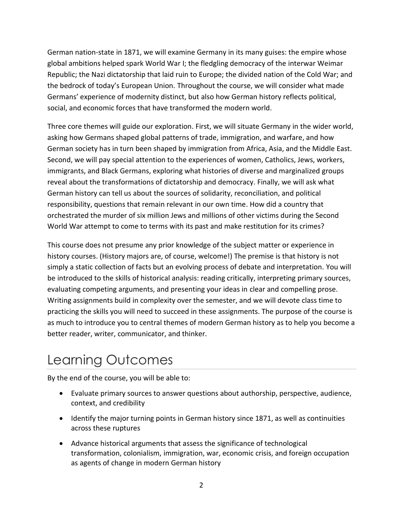German nation-state in 1871, we will examine Germany in its many guises: the empire whose global ambitions helped spark World War I; the fledgling democracy of the interwar Weimar Republic; the Nazi dictatorship that laid ruin to Europe; the divided nation of the Cold War; and the bedrock of today's European Union. Throughout the course, we will consider what made Germans' experience of modernity distinct, but also how German history reflects political, social, and economic forces that have transformed the modern world.

Three core themes will guide our exploration. First, we will situate Germany in the wider world, asking how Germans shaped global patterns of trade, immigration, and warfare, and how German society has in turn been shaped by immigration from Africa, Asia, and the Middle East. Second, we will pay special attention to the experiences of women, Catholics, Jews, workers, immigrants, and Black Germans, exploring what histories of diverse and marginalized groups reveal about the transformations of dictatorship and democracy. Finally, we will ask what German history can tell us about the sources of solidarity, reconciliation, and political responsibility, questions that remain relevant in our own time. How did a country that orchestrated the murder of six million Jews and millions of other victims during the Second World War attempt to come to terms with its past and make restitution for its crimes?

This course does not presume any prior knowledge of the subject matter or experience in history courses. (History majors are, of course, welcome!) The premise is that history is not simply a static collection of facts but an evolving process of debate and interpretation. You will be introduced to the skills of historical analysis: reading critically, interpreting primary sources, evaluating competing arguments, and presenting your ideas in clear and compelling prose. Writing assignments build in complexity over the semester, and we will devote class time to practicing the skills you will need to succeed in these assignments. The purpose of the course is as much to introduce you to central themes of modern German history as to help you become a better reader, writer, communicator, and thinker.

## Learning Outcomes

By the end of the course, you will be able to:

- Evaluate primary sources to answer questions about authorship, perspective, audience, context, and credibility
- Identify the major turning points in German history since 1871, as well as continuities across these ruptures
- Advance historical arguments that assess the significance of technological transformation, colonialism, immigration, war, economic crisis, and foreign occupation as agents of change in modern German history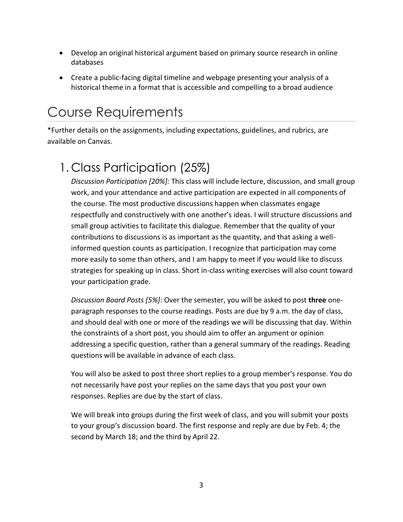- Develop an original historical argument based on primary source research in online databases
- Create a public-facing digital timeline and webpage presenting your analysis of a historical theme in a format that is accessible and compelling to a broad audience

## Course Requirements

\*Further details on the assignments, including expectations, guidelines, and rubrics, are available on Canvas.

## 1. Class Participation (25%)

*Discussion Participation [20%]:* This class will include lecture, discussion, and small group work, and your attendance and active participation are expected in all components of the course. The most productive discussions happen when classmates engage respectfully and constructively with one another's ideas. I will structure discussions and small group activities to facilitate this dialogue. Remember that the quality of your contributions to discussions is as important as the quantity, and that asking a wellinformed question counts as participation. I recognize that participation may come more easily to some than others, and I am happy to meet if you would like to discuss strategies for speaking up in class. Short in-class writing exercises will also count toward your participation grade.

*Discussion Board Posts [5%]:* Over the semester, you will be asked to post **three** oneparagraph responses to the course readings. Posts are due by 9 a.m. the day of class, and should deal with one or more of the readings we will be discussing that day. Within the constraints of a short post, you should aim to offer an argument or opinion addressing a specific question, rather than a general summary of the readings. Reading questions will be available in advance of each class.

You will also be asked to post three short replies to a group member's response. You do not necessarily have post your replies on the same days that you post your own responses. Replies are due by the start of class.

We will break into groups during the first week of class, and you will submit your posts to your group's discussion board. The first response and reply are due by Feb. 4; the second by March 18; and the third by April 22.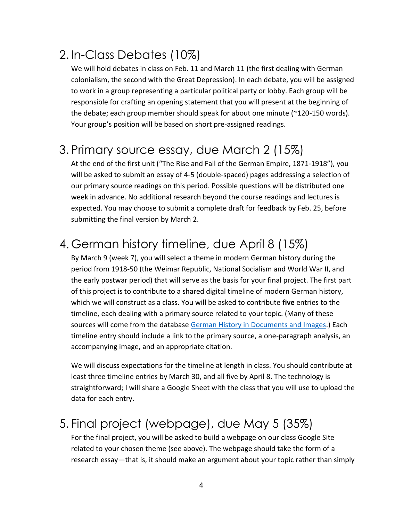#### 2. In-Class Debates (10%)

We will hold debates in class on Feb. 11 and March 11 (the first dealing with German colonialism, the second with the Great Depression). In each debate, you will be assigned to work in a group representing a particular political party or lobby. Each group will be responsible for crafting an opening statement that you will present at the beginning of the debate; each group member should speak for about one minute (~120-150 words). Your group's position will be based on short pre-assigned readings.

#### 3. Primary source essay, due March 2 (15%)

At the end of the first unit ("The Rise and Fall of the German Empire, 1871-1918"), you will be asked to submit an essay of 4-5 (double-spaced) pages addressing a selection of our primary source readings on this period. Possible questions will be distributed one week in advance. No additional research beyond the course readings and lectures is expected. You may choose to submit a complete draft for feedback by Feb. 25, before submitting the final version by March 2.

#### 4. German history timeline, due April 8 (15%)

By March 9 (week 7), you will select a theme in modern German history during the period from 1918-50 (the Weimar Republic, National Socialism and World War II, and the early postwar period) that will serve as the basis for your final project. The first part of this project is to contribute to a shared digital timeline of modern German history, which we will construct as a class. You will be asked to contribute **five** entries to the timeline, each dealing with a primary source related to your topic. (Many of these sources will come from the database [German History in Documents and Images.](http://germanhistorydocs.ghi-dc.org/)) Each timeline entry should include a link to the primary source, a one-paragraph analysis, an accompanying image, and an appropriate citation.

We will discuss expectations for the timeline at length in class. You should contribute at least three timeline entries by March 30, and all five by April 8. The technology is straightforward; I will share a Google Sheet with the class that you will use to upload the data for each entry.

#### 5. Final project (webpage), due May 5 (35%)

For the final project, you will be asked to build a webpage on our class Google Site related to your chosen theme (see above). The webpage should take the form of a research essay—that is, it should make an argument about your topic rather than simply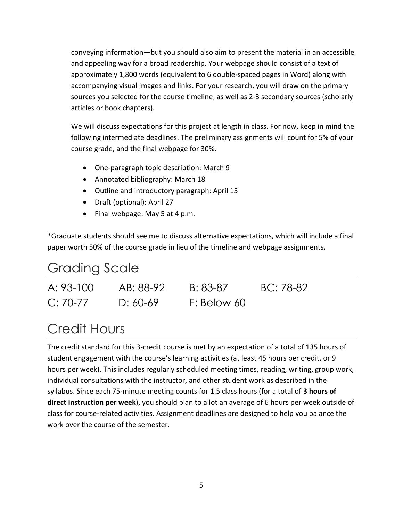conveying information—but you should also aim to present the material in an accessible and appealing way for a broad readership. Your webpage should consist of a text of approximately 1,800 words (equivalent to 6 double-spaced pages in Word) along with accompanying visual images and links. For your research, you will draw on the primary sources you selected for the course timeline, as well as 2-3 secondary sources (scholarly articles or book chapters).

We will discuss expectations for this project at length in class. For now, keep in mind the following intermediate deadlines. The preliminary assignments will count for 5% of your course grade, and the final webpage for 30%.

- One-paragraph topic description: March 9
- Annotated bibliography: March 18
- Outline and introductory paragraph: April 15
- Draft (optional): April 27
- Final webpage: May 5 at 4 p.m.

\*Graduate students should see me to discuss alternative expectations, which will include a final paper worth 50% of the course grade in lieu of the timeline and webpage assignments.

#### Grading Scale

| A: 93-100  | AB: 88-92  | B: 83-87    | BC: 78-82 |
|------------|------------|-------------|-----------|
| $C: 70-77$ | D: $60-69$ | F: Below 60 |           |

## Credit Hours

The credit standard for this 3-credit course is met by an expectation of a total of 135 hours of student engagement with the course's learning activities (at least 45 hours per credit, or 9 hours per week). This includes regularly scheduled meeting times, reading, writing, group work, individual consultations with the instructor, and other student work as described in the syllabus. Since each 75-minute meeting counts for 1.5 class hours (for a total of **3 hours of direct instruction per week**), you should plan to allot an average of 6 hours per week outside of class for course-related activities. Assignment deadlines are designed to help you balance the work over the course of the semester.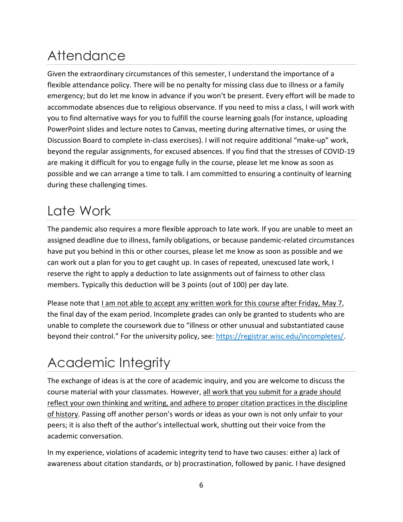# **Attendance**

Given the extraordinary circumstances of this semester, I understand the importance of a flexible attendance policy. There will be no penalty for missing class due to illness or a family emergency; but do let me know in advance if you won't be present. Every effort will be made to accommodate absences due to religious observance. If you need to miss a class, I will work with you to find alternative ways for you to fulfill the course learning goals (for instance, uploading PowerPoint slides and lecture notes to Canvas, meeting during alternative times, or using the Discussion Board to complete in-class exercises). I will not require additional "make-up" work, beyond the regular assignments, for excused absences. If you find that the stresses of COVID-19 are making it difficult for you to engage fully in the course, please let me know as soon as possible and we can arrange a time to talk. I am committed to ensuring a continuity of learning during these challenging times.

## Late Work

The pandemic also requires a more flexible approach to late work. If you are unable to meet an assigned deadline due to illness, family obligations, or because pandemic-related circumstances have put you behind in this or other courses, please let me know as soon as possible and we can work out a plan for you to get caught up. In cases of repeated, unexcused late work, I reserve the right to apply a deduction to late assignments out of fairness to other class members. Typically this deduction will be 3 points (out of 100) per day late.

Please note that I am not able to accept any written work for this course after Friday, May 7, the final day of the exam period. Incomplete grades can only be granted to students who are unable to complete the coursework due to "illness or other unusual and substantiated cause beyond their control." For the university policy, see: [https://registrar.wisc.edu/incompletes/.](https://registrar.wisc.edu/incompletes/)

## Academic Integrity

The exchange of ideas is at the core of academic inquiry, and you are welcome to discuss the course material with your classmates. However, all work that you submit for a grade should reflect your own thinking and writing, and adhere to proper citation practices in the discipline of history. Passing off another person's words or ideas as your own is not only unfair to your peers; it is also theft of the author's intellectual work, shutting out their voice from the academic conversation.

In my experience, violations of academic integrity tend to have two causes: either a) lack of awareness about citation standards, or b) procrastination, followed by panic. I have designed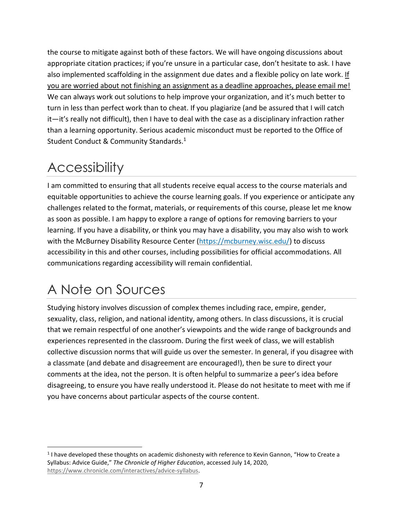the course to mitigate against both of these factors. We will have ongoing discussions about appropriate citation practices; if you're unsure in a particular case, don't hesitate to ask. I have also implemented scaffolding in the assignment due dates and a flexible policy on late work. If you are worried about not finishing an assignment as a deadline approaches, please email me! We can always work out solutions to help improve your organization, and it's much better to turn in less than perfect work than to cheat. If you plagiarize (and be assured that I will catch it—it's really not difficult), then I have to deal with the case as a disciplinary infraction rather than a learning opportunity. Serious academic misconduct must be reported to the Office of Student Conduct & Community Standards.<sup>1</sup>

## **Accessibility**

I am committed to ensuring that all students receive equal access to the course materials and equitable opportunities to achieve the course learning goals. If you experience or anticipate any challenges related to the format, materials, or requirements of this course, please let me know as soon as possible. I am happy to explore a range of options for removing barriers to your learning. If you have a disability, or think you may have a disability, you may also wish to work with the McBurney Disability Resource Center [\(https://mcburney.wisc.edu/\)](https://mcburney.wisc.edu/) to discuss accessibility in this and other courses, including possibilities for official accommodations. All communications regarding accessibility will remain confidential.

# A Note on Sources

Studying history involves discussion of complex themes including race, empire, gender, sexuality, class, religion, and national identity, among others. In class discussions, it is crucial that we remain respectful of one another's viewpoints and the wide range of backgrounds and experiences represented in the classroom. During the first week of class, we will establish collective discussion norms that will guide us over the semester. In general, if you disagree with a classmate (and debate and disagreement are encouraged!), then be sure to direct your comments at the idea, not the person. It is often helpful to summarize a peer's idea before disagreeing, to ensure you have really understood it. Please do not hesitate to meet with me if you have concerns about particular aspects of the course content.

<sup>&</sup>lt;sup>1</sup> I have developed these thoughts on academic dishonesty with reference to Kevin Gannon, "How to Create a Syllabus: Advice Guide," *The Chronicle of Higher Education*, accessed July 14, 2020, [https://www.chronicle.com/interactives/advice-syllabus.](https://www.chronicle.com/interactives/advice-syllabus)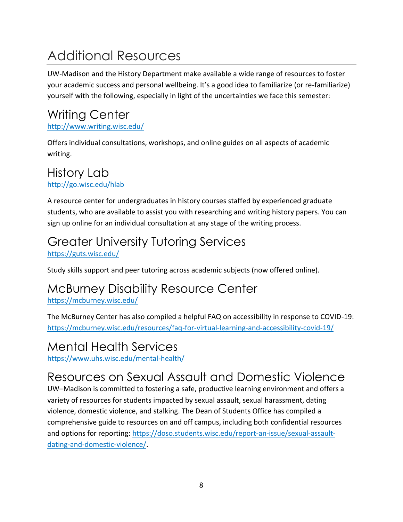# Additional Resources

UW-Madison and the History Department make available a wide range of resources to foster your academic success and personal wellbeing. It's a good idea to familiarize (or re-familiarize) yourself with the following, especially in light of the uncertainties we face this semester:

# Writing Center

<http://www.writing.wisc.edu/>

Offers individual consultations, workshops, and online guides on all aspects of academic writing.

#### History Lab <http://go.wisc.edu/hlab>

A resource center for undergraduates in history courses staffed by experienced graduate students, who are available to assist you with researching and writing history papers. You can sign up online for an individual consultation at any stage of the writing process.

## Greater University Tutoring Services

<https://guts.wisc.edu/>

Study skills support and peer tutoring across academic subjects (now offered online).

#### McBurney Disability Resource Center

<https://mcburney.wisc.edu/>

The McBurney Center has also compiled a helpful FAQ on accessibility in response to COVID-19: [https://mcburney.wisc.edu/resources/faq-for-virtual-learning-and-accessibility-covid-19/](https://mcburney.wisc.edu/resources/faq-for-virtual-learning-and-accessibility-covid-19/#forstudents)

#### Mental Health Services

<https://www.uhs.wisc.edu/mental-health/>

## Resources on Sexual Assault and Domestic Violence

UW–Madison is committed to fostering a safe, productive learning environment and offers a variety of resources for students impacted by sexual assault, sexual harassment, dating violence, domestic violence, and stalking. The Dean of Students Office has compiled a comprehensive guide to resources on and off campus, including both confidential resources and options for reporting: [https://doso.students.wisc.edu/report-an-issue/sexual-assault](https://doso.students.wisc.edu/report-an-issue/sexual-assault-dating-and-domestic-violence/)[dating-and-domestic-violence/.](https://doso.students.wisc.edu/report-an-issue/sexual-assault-dating-and-domestic-violence/)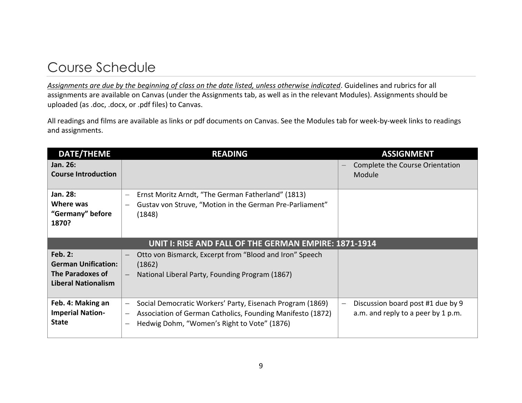## Course Schedule

*Assignments are due by the beginning of class on the date listed, unless otherwise indicated*. Guidelines and rubrics for all assignments are available on Canvas (under the Assignments tab, as well as in the relevant Modules). Assignments should be uploaded (as .doc, .docx, or .pdf files) to Canvas.

All readings and films are available as links or pdf documents on Canvas. See the Modules tab for week-by-week links to readings and assignments.

| <b>DATE/THEME</b>                                     | <b>READING</b>                                                                         | <b>ASSIGNMENT</b>                  |
|-------------------------------------------------------|----------------------------------------------------------------------------------------|------------------------------------|
| Jan. 26:                                              |                                                                                        | Complete the Course Orientation    |
| <b>Course Introduction</b>                            |                                                                                        | Module                             |
|                                                       |                                                                                        |                                    |
| Jan. 28:                                              | Ernst Moritz Arndt, "The German Fatherland" (1813)<br>$\overline{\phantom{m}}$         |                                    |
| Where was                                             | Gustav von Struve, "Motion in the German Pre-Parliament"<br>$\overline{\phantom{0}}$   |                                    |
| "Germany" before                                      | (1848)                                                                                 |                                    |
| 1870?                                                 |                                                                                        |                                    |
|                                                       |                                                                                        |                                    |
| UNIT I: RISE AND FALL OF THE GERMAN EMPIRE: 1871-1914 |                                                                                        |                                    |
| <b>Feb. 2:</b>                                        | Otto von Bismarck, Excerpt from "Blood and Iron" Speech<br>$\overline{\phantom{m}}$    |                                    |
| <b>German Unification:</b>                            | (1862)                                                                                 |                                    |
| The Paradoxes of                                      | National Liberal Party, Founding Program (1867)                                        |                                    |
| <b>Liberal Nationalism</b>                            |                                                                                        |                                    |
|                                                       |                                                                                        |                                    |
| Feb. 4: Making an                                     | Social Democratic Workers' Party, Eisenach Program (1869)<br>$\qquad \qquad -$         | Discussion board post #1 due by 9  |
| <b>Imperial Nation-</b>                               | Association of German Catholics, Founding Manifesto (1872)<br>$\overline{\phantom{0}}$ | a.m. and reply to a peer by 1 p.m. |
| <b>State</b>                                          | Hedwig Dohm, "Women's Right to Vote" (1876)                                            |                                    |
|                                                       |                                                                                        |                                    |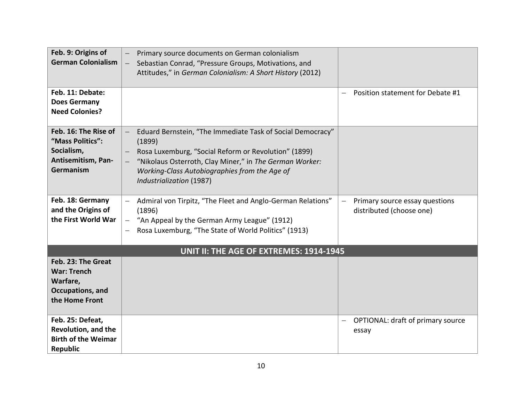| Feb. 9: Origins of<br><b>German Colonialism</b>                                            | Primary source documents on German colonialism<br>Sebastian Conrad, "Pressure Groups, Motivations, and<br>$\overline{\phantom{0}}$<br>Attitudes," in German Colonialism: A Short History (2012)                                                                      |                                                            |
|--------------------------------------------------------------------------------------------|----------------------------------------------------------------------------------------------------------------------------------------------------------------------------------------------------------------------------------------------------------------------|------------------------------------------------------------|
| Feb. 11: Debate:<br><b>Does Germany</b><br><b>Need Colonies?</b>                           |                                                                                                                                                                                                                                                                      | Position statement for Debate #1                           |
| Feb. 16: The Rise of<br>"Mass Politics":<br>Socialism,<br>Antisemitism, Pan-<br>Germanism  | Eduard Bernstein, "The Immediate Task of Social Democracy"<br>(1899)<br>Rosa Luxemburg, "Social Reform or Revolution" (1899)<br>"Nikolaus Osterroth, Clay Miner," in The German Worker:<br>Working-Class Autobiographies from the Age of<br>Industrialization (1987) |                                                            |
| Feb. 18: Germany<br>and the Origins of<br>the First World War                              | Admiral von Tirpitz, "The Fleet and Anglo-German Relations"<br>(1896)<br>"An Appeal by the German Army League" (1912)<br>$\qquad \qquad -$<br>Rosa Luxemburg, "The State of World Politics" (1913)                                                                   | Primary source essay questions<br>distributed (choose one) |
|                                                                                            | UNIT II: THE AGE OF EXTREMES: 1914-1945                                                                                                                                                                                                                              |                                                            |
| Feb. 23: The Great<br><b>War: Trench</b><br>Warfare,<br>Occupations, and<br>the Home Front |                                                                                                                                                                                                                                                                      |                                                            |
| Feb. 25: Defeat,<br>Revolution, and the<br><b>Birth of the Weimar</b><br>Republic          |                                                                                                                                                                                                                                                                      | OPTIONAL: draft of primary source<br>essay                 |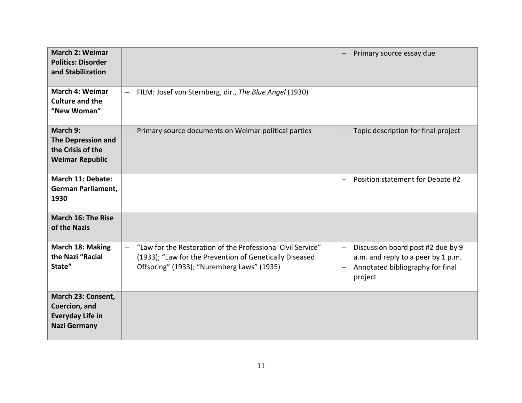| <b>March 2: Weimar</b><br><b>Politics: Disorder</b><br>and Stabilization              |                                                                                                                                                                                                  | Primary source essay due                                                                                                                    |
|---------------------------------------------------------------------------------------|--------------------------------------------------------------------------------------------------------------------------------------------------------------------------------------------------|---------------------------------------------------------------------------------------------------------------------------------------------|
| <b>March 4: Weimar</b><br><b>Culture and the</b><br>"New Woman"                       | FILM: Josef von Sternberg, dir., The Blue Angel (1930)<br>$\overline{\phantom{m}}$                                                                                                               |                                                                                                                                             |
| March 9:<br><b>The Depression and</b><br>the Crisis of the<br><b>Weimar Republic</b>  | Primary source documents on Weimar political parties                                                                                                                                             | Topic description for final project                                                                                                         |
| March 11: Debate:<br>German Parliament,<br>1930                                       |                                                                                                                                                                                                  | Position statement for Debate #2<br>$\overline{\phantom{0}}$                                                                                |
| March 16: The Rise<br>of the Nazis                                                    |                                                                                                                                                                                                  |                                                                                                                                             |
| March 18: Making<br>the Nazi "Racial<br>State"                                        | "Law for the Restoration of the Professional Civil Service"<br>$\overline{\phantom{0}}$<br>(1933); "Law for the Prevention of Genetically Diseased<br>Offspring" (1933); "Nuremberg Laws" (1935) | Discussion board post #2 due by 9<br>$\qquad \qquad -$<br>a.m. and reply to a peer by 1 p.m.<br>Annotated bibliography for final<br>project |
| March 23: Consent,<br>Coercion, and<br><b>Everyday Life in</b><br><b>Nazi Germany</b> |                                                                                                                                                                                                  |                                                                                                                                             |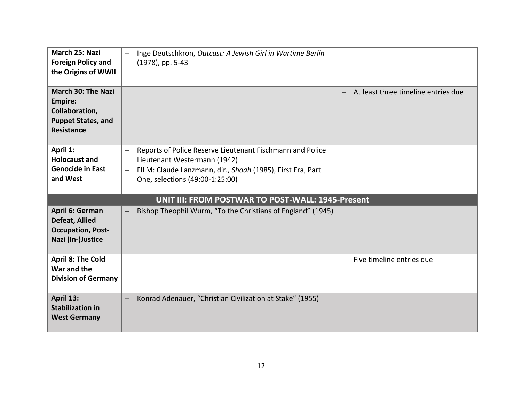| March 25: Nazi<br><b>Foreign Policy and</b><br>the Origins of WWII                                              | Inge Deutschkron, Outcast: A Jewish Girl in Wartime Berlin<br>(1978), pp. 5-43                                                                                                                                         |                                                             |
|-----------------------------------------------------------------------------------------------------------------|------------------------------------------------------------------------------------------------------------------------------------------------------------------------------------------------------------------------|-------------------------------------------------------------|
| <b>March 30: The Nazi</b><br><b>Empire:</b><br>Collaboration,<br><b>Puppet States, and</b><br><b>Resistance</b> |                                                                                                                                                                                                                        | At least three timeline entries due                         |
| April 1:<br><b>Holocaust and</b><br><b>Genocide in East</b><br>and West                                         | Reports of Police Reserve Lieutenant Fischmann and Police<br>Lieutenant Westermann (1942)<br>FILM: Claude Lanzmann, dir., Shoah (1985), First Era, Part<br>$\overline{\phantom{m}}$<br>One, selections (49:00-1:25:00) |                                                             |
|                                                                                                                 | UNIT III: FROM POSTWAR TO POST-WALL: 1945-Present                                                                                                                                                                      |                                                             |
| April 6: German<br><b>Defeat, Allied</b><br><b>Occupation, Post-</b><br>Nazi (In-)Justice                       | Bishop Theophil Wurm, "To the Christians of England" (1945)                                                                                                                                                            |                                                             |
| <b>April 8: The Cold</b><br>War and the<br><b>Division of Germany</b>                                           |                                                                                                                                                                                                                        | Five timeline entries due<br>$\qquad \qquad \longleftarrow$ |
| April 13:<br><b>Stabilization in</b><br><b>West Germany</b>                                                     | Konrad Adenauer, "Christian Civilization at Stake" (1955)                                                                                                                                                              |                                                             |